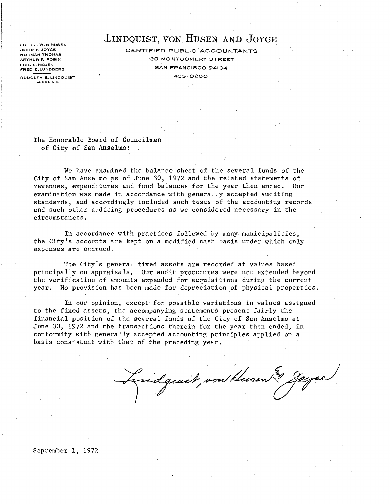FRED J. VON HUSEN JOHN F. JOYCE NORMAN THOMAS ARTHUR F. ROBIN ERIC L.HEOEN FRED E.LUNDBERG RUDOLPH E. LI NDQUIST

**ASSOCIATE** 

# .LINDQUIST, VON HUSEN AND JOYCE

CERTIFIED PUBLIC ACCOUNTANTS 120 MONTGOMERY STREET SAN FRANCISCO 94104 433-0200

The Honorable Board of Councilmen of City of San Anselmo:

We have examined the balance sheet of the several funds of the City of San Anselmo as of June 30, 1972 and the related statements of revenues, expenditures and fund balances for the year then ended. Our examination was made in accordance with generally accepted auditing standards, and accordingly included such tests of the accounting records and such other auditing.procedures as we considered necessary in the circumstances.

In accordance with practices followed by many municipalities, the City's accounts are kept on a modified cash basis under which only expenses are accrued.

The City's general fixed assets are recorded at values based principally on appraisals. Our audit procedures were not extended beyond the verification of amounts expended for acquisitions during the current year. No provision has been made for depreciation of physical properties.

In our opinion, except for possible variations in values assigned to the fixed assets, the accompanying statements present fairly the financial position of the several funds of the City of San Anselmo at June 30, 1972 and the transactions therein for the year then ended, in conformity with generally accepted accounting principles applied on a basis consistent with that of the preceding year.

Lindgewit, von Husen & Jayse

#### September 1, 1972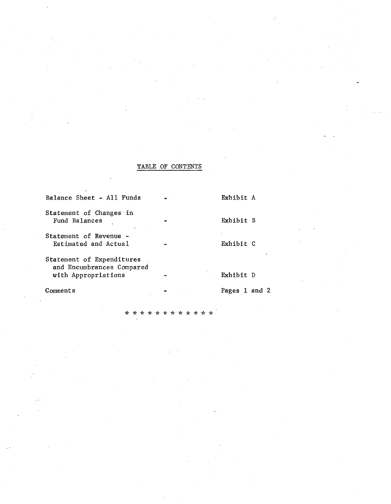### TABLE OF CONTENTS

| Comments                                                                      | Pages 1 and 2 |
|-------------------------------------------------------------------------------|---------------|
| Statement of Expenditures<br>and Encumbrances Compared<br>with Appropriations | Exhibit D     |
| Statement of Revenue -<br>Estimated and Actual                                | Exhibit C     |
| Statement of Changes in<br>Fund Balances                                      | Exhibit B     |
| Balance Sheet - All Funds                                                     | Exhibit A     |

می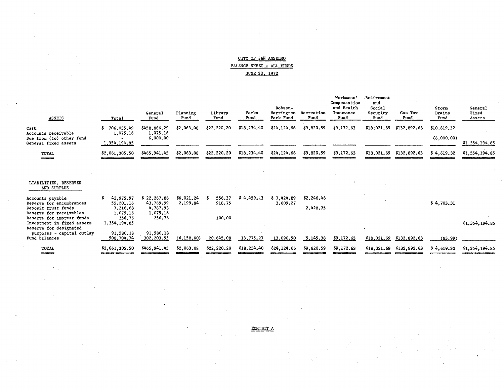|                           |  | CITY OF SAN ANSELMO |  |
|---------------------------|--|---------------------|--|
| BALANCE SHEET - ALL FUNDS |  |                     |  |
|                           |  | JUNE 30, 1972       |  |

| <b>ASSETS</b>                                                                                                               | Total                                                                                                                                         | General<br>Fund                                             | Planning<br>Fund                | Library<br>Fund                               | Parks<br>Fund                 | Robson-<br>Harrington<br>Park Fund | Recreation<br>Fund             | Workmens'<br>Compensation<br>and Health<br>Insurance<br>Fund | Retirement<br>and<br>Social<br>Security<br>Fund | Gas Tax<br>Fund              | Storm<br>Drains<br>Fund   | General<br>Fixed<br>Assets    |
|-----------------------------------------------------------------------------------------------------------------------------|-----------------------------------------------------------------------------------------------------------------------------------------------|-------------------------------------------------------------|---------------------------------|-----------------------------------------------|-------------------------------|------------------------------------|--------------------------------|--------------------------------------------------------------|-------------------------------------------------|------------------------------|---------------------------|-------------------------------|
| Cash<br>Accounts receivable<br>Due from (to) other fund<br>General fixed assets                                             | 706,035.49<br>\$.<br>1,075.16<br>1, 354, 194.85                                                                                               | \$458,866.29<br>1,075.16<br>6,000.00                        | \$2,063.08                      | \$22, 220.20\$                                | \$18,234.40                   | \$24,124.66                        | \$9,820.59                     | \$9,172.63                                                   | \$18,021.69                                     | \$132,892.63                 | \$10,619.32<br>(6,000,00) | \$1,354,194.85                |
| TOTAL<br>____                                                                                                               | \$2,061,305.50<br>____________________                                                                                                        | \$465,941.45                                                | \$2,063.08<br>----------------- | \$22,220.20<br><b>District Contract Angle</b> | \$18, 234, 40<br>------------ | \$24,124.66                        | \$9,820.59<br>---------------- | \$9,172.63<br>________                                       | \$18,021.69<br><b>Contractor of Contractor</b>  | \$132,892.63<br>. . <i>.</i> | \$4,619.32                | \$1,354,194.85                |
| LIABILITIES, RESERVES<br>AND SURPLUS                                                                                        |                                                                                                                                               |                                                             |                                 |                                               |                               |                                    |                                |                                                              |                                                 |                              |                           |                               |
| Accounts payable<br>Reserve for encumbrances<br>Deposit trust funds<br>Reserve for receivables<br>Reserve for imprest funds | 42,975.97<br>s<br>55,201.16<br>7.216.68<br>1,075.16<br>356.76                                                                                 | \$22, 267.88<br>43,769.99<br>4,787.93<br>1,075.16<br>256.76 | \$6,021.24<br>2,199.84          | 556.37<br>918.75<br>100.00                    | \$4,459.13                    | \$7,424.89<br>3,609.27             | \$2,246.46<br>2,428.75         |                                                              |                                                 |                              | \$4,703.31                |                               |
| Investment in fixed assets<br>Reserve for designated<br>purposes - capital outlay<br>Fund balances                          | 1,354,194.85<br>91,580.18<br>508,704.74                                                                                                       | 91,580.18<br>302,203.55                                     | (6, 158, 00)                    | 20,645.08                                     | 13,775.27                     | 13,090.50                          | 3,145.38                       | \$9,172.63                                                   | $\epsilon$<br>\$18,021.69                       | \$132,892.63                 | (83.99)                   | \$1,354,194.85                |
| TOTAL<br>---                                                                                                                | \$2,061,305,50<br><u> The Bally of the School and the School and School and School and School and School and School and School and School</u> | \$465,941.45                                                | \$2,063.08                      | \$22,220.20                                   | \$18,234.40                   | \$24,124,66                        | \$9,820.59                     | \$9,172.63<br><u> 2004 - Antonio Antonio III (m. 1874)</u>   | \$18,021,69                                     | \$132,892.63                 | \$4,619.32                | \$1,354,194.85<br>___________ |

EXH::BIT A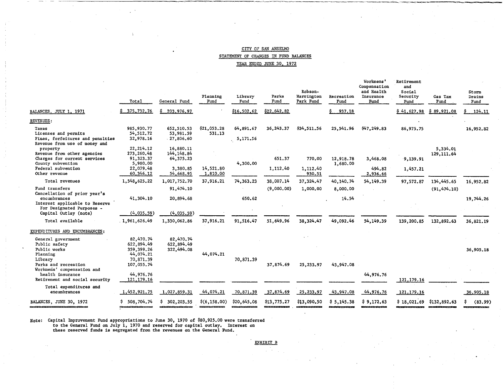#### CITY OF SAN ANSELMO STATEMENT OF CHANGES IN FUND BALANCES YEAR ENDED JUNE 30, 1972

|                                                                                                    | Total                                                                         | General Fund                           | Planning<br>Fund      | Library<br>Fund          | Parks<br>Fund | Robson-<br>Harrington<br>Park Fund | Recreation<br>Fund | Workmens'<br>Compensation<br>and Health<br>Insurance<br>Fund | Retirement<br>and<br>Social<br>Security<br>Fund | Gas Tax<br>Fund          | Storm<br>Drains<br>Fund |
|----------------------------------------------------------------------------------------------------|-------------------------------------------------------------------------------|----------------------------------------|-----------------------|--------------------------|---------------|------------------------------------|--------------------|--------------------------------------------------------------|-------------------------------------------------|--------------------------|-------------------------|
| BALANCES, JULY 1, 1971                                                                             | \$375,732,76                                                                  | \$203,976,97                           |                       | \$16,502,62              | \$22,642.82   |                                    | 937.18             |                                                              | \$41,627.98                                     | 89,921.08<br>Ş.          | 124,11                  |
| REVENUES:                                                                                          |                                                                               |                                        |                       |                          |               |                                    |                    |                                                              |                                                 |                          |                         |
| Taxes<br>Licenses and permits<br>Fines, forfeitures and penalties<br>Revenue from use of money and | 985,930.77<br>54, 512. 72<br>32,978.16                                        | 652,510.53<br>53,981.59<br>27,806,60   | \$21,053.28<br>531.13 | 64,891.67<br>, 5, 171.56 | 36,243.37     | \$34,511.56                        | 25,541.96          | \$47,249.83                                                  | 86,975.75                                       |                          | 16,952.82               |
| property<br>Revenue from other agencies<br>Charges for current services<br>County subvention       | 22, 214, 12<br>273,260,48<br>91,323.37<br>5,980.00                            | 16,880.11<br>144, 148, 84<br>64,375.23 |                       | 4,300.00                 | 651.37        | 770.00                             | 12,918.78          | 3,468.08                                                     | 9,139.91                                        | 5,334.01<br>129, 111, 64 |                         |
| Federal subvention<br>Other revenue                                                                | 22,079.48<br>60,346.12                                                        | 3,380.85<br>54,668.95                  | 14,521.80<br>1,810.00 |                          | 1,112,40      | 1,112.40<br>930.51                 | 1,680.00           | 494.82<br>2,936.66                                           | 1,457.21                                        |                          |                         |
| Total revenues                                                                                     | 1,548,625.22                                                                  | 1,017,752.70                           | 37,916.21             | 74,363.23                | 38,007.14     | 37,324.47                          | 40,140.74          | 54,149.39                                                    | 97,572.87                                       | 134,445.65               | 16,952.82               |
| Fund transfers<br>Cancellation of prior year's<br>encumbrances<br>Interest applicable to Reserve   | 41,304.10                                                                     | 91,474.10<br>20,894.68                 |                       | 650.62                   | (9,000,00)    | 1,000,00                           | 8,000.00<br>14.54  |                                                              |                                                 | (91, 474, 10)            | 19,744.26               |
| For Designated Purposes -<br>Capital Outlay (note)                                                 | (4,035,59)                                                                    | (4,035.59)                             |                       |                          |               |                                    |                    |                                                              |                                                 |                          |                         |
| Total available                                                                                    | 1,961,626.49                                                                  | 1,330,062,86                           | 37,916.21             | 91,516.47                | 51,649.96     | 38, 324, 47                        | 49.092.46          | 54,149.39                                                    | 139,200.85                                      | 132,892.63               | 36,821.19               |
| EXPENDITURES AND ENCUMBRANCES:                                                                     |                                                                               |                                        |                       |                          |               |                                    |                    |                                                              |                                                 |                          |                         |
| General government<br>Public safety<br>Public works<br>Planning<br>Library<br>Parks and recreation | 82,470.74<br>622,894.49<br>359,399.26<br>44,074.21<br>70,871.39<br>107,055.74 | 82,470.74<br>622,894.49<br>322,494.08  | 44,074,21             | 70,871.39                | 37,874.69     | 25,233.97                          | 43,947.08          |                                                              |                                                 |                          | 36,905.18               |
| Workmens' compensation and<br>health insurance<br>Retirement and social security                   | 44,976.76<br>121,179.16                                                       |                                        |                       |                          |               |                                    |                    | 44,976.76                                                    | 121, 179, 16                                    |                          |                         |
| Total expenditures and<br>encumbrances                                                             | 1,452,921.75                                                                  | 1,027,859.31                           | 44,074.21             | 70,871.39                | 37,874.69     | 25,233.97                          | 43,947.08          | 44,976.76                                                    | 121, 179. 16                                    |                          | 36,905.18               |
| BALANCES, JUNE 30, 1972                                                                            | \$508,704.74                                                                  | \$302, 203.55                          | \$(6,158.00)          | \$20,645.08              | \$13,775.27   | \$13,090.50                        | \$5,145.38         | \$9,172,63                                                   | $$18,021.69$ $$132,892.63$                      |                          | (83.99)                 |

Note: Capital Improvement Fund appropriations to June 30, 1970 of \$80,925.00 were transferred<br>to the General Fund on July 1, 1970 and reserved for capital outlay. Interest on<br>these reserved funds is segregated from the rev

EXHIBIT B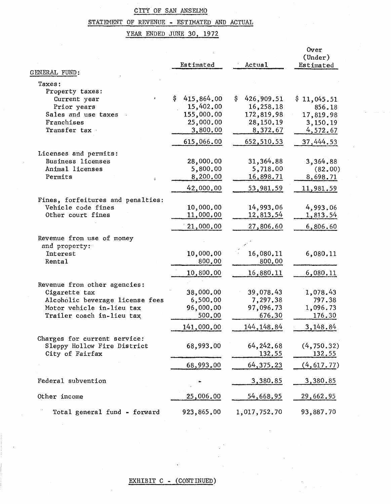## CITY OF SAN ANSELMO

# STATEMENT OF REVENUE - ESTIMATED AND ACTUAL

YEAR ENDED JUNE 30, 1972

|                                   | Estimated         | Actual           | Over<br>(Under)<br>Estimated |
|-----------------------------------|-------------------|------------------|------------------------------|
| GENERAL FUND:                     |                   |                  |                              |
| Taxes:                            |                   |                  |                              |
| Property taxes:                   |                   |                  |                              |
| Current year                      | \$.<br>415,864.00 | \$<br>426,909.51 | \$11,045.51                  |
| Prior years                       | 15,402.00         | 16,258.18        | 856.18                       |
| Sales and use taxes               | 155,000.00        | 172,819.98       | 17,819.98                    |
| Franchises                        | 25,000.00         | 28,150.19        | 3,150.19                     |
| Transfer tax                      | 3,800.00          | 8,372.67         | 4,572.67                     |
|                                   | 615,066.00        | 652,510.53       | 37,444.53                    |
| Licenses and permits:             |                   |                  |                              |
| <b>Business licenses</b>          | 28,000.00         | 31,364.88        | 3,364.88                     |
| Animal licenses                   | 5,800.00          | 5,718.00         | (82,00)                      |
| Permits<br>t.                     | 8,200.00          | 16,898.71        | 8,698.71                     |
|                                   | 42,000.00         | 53,981.59        | 11,981.59                    |
| Fines, forfeitures and penalties: |                   |                  |                              |
| Vehicle code fines                | 10,000.00         | 14,993.06        | 4,993.06                     |
| Other court fines                 | 11,000,00         | <u>12,813.54</u> | <u>1,813.54</u>              |
|                                   | 21,000.00         | 27,806.60        | 6,806.60                     |
| Revenue from use of money         |                   |                  |                              |
| and property:                     |                   |                  |                              |
| Interest                          | 10,000.00         | 16,080.11        | 6,080.11                     |
| Rental                            | 800.00            | 800.00           |                              |
|                                   | 10,800.00         | <u>16,880.11</u> | 6,080.11                     |
| Revenue from other agencies:      |                   |                  |                              |
| Cigarette tax                     | 38,000.00         | 39,078.43        | 1,078.43                     |
| Alcoholic beverage license fees   | 6,500.00          | 7,297.38         | 797.38                       |
| Motor vehicle in-lieu tax         | 96,000.00         | 97,096.73        | 1,096.73                     |
| Trailer coach in-lieu tax         | 500.00            | 676.30           | 176.30                       |
|                                   | 141,000.00        | 144, 148.84      | 3,148.84                     |
| Charges for current service:      |                   |                  |                              |
| Sleppy Hollow Fire District       | 68,993.00         | 64, 242. 68      | (4, 750.32)                  |
| City of Fairfax                   |                   | 132.55           | 132.55                       |
|                                   | 68,993.00         | 64, 375. 23      | (4, 617.77)                  |
| Federal subvention                |                   |                  |                              |
|                                   |                   | <u>3,380.85</u>  | <u>3,380.85</u>              |
| Other income                      | 25,006.00         | 54,668.95        | 29,662.95                    |
| Total general fund - forward      | 923,865.00        | 1,017,752.70     | 93,887.70                    |

## EXHIBIT C - (CONTINUED)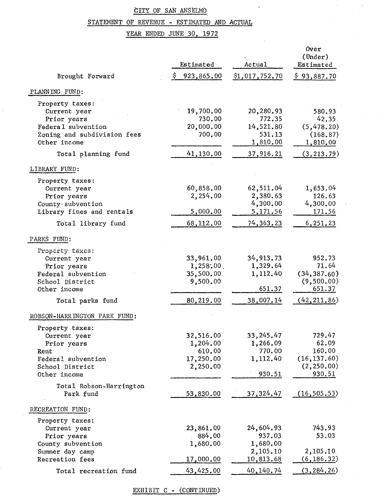## CITY OF SAN ANSELMO

 $\ddot{\phantom{a}}$ 

# STATEMENT OF REVENUE - ESTIMATED AND ACTUAL

YEAR ENDED JUNE 30, 1972

| Brought Forward                                                                                                          | Estimated<br>Ş.<br>923,865.00                            | Actual<br>\$1,017,752.70                                     | Over<br>(Under)<br>Estimated<br>\$93,887.70                          |
|--------------------------------------------------------------------------------------------------------------------------|----------------------------------------------------------|--------------------------------------------------------------|----------------------------------------------------------------------|
| PLANNING FUND:                                                                                                           |                                                          |                                                              |                                                                      |
| Property taxes:<br>Current year<br>Prior years<br>Federal subvention<br>Zoning and subdivision fees<br>Other income      | 19,700.00<br>730.00<br>20,000.00<br>700.00               | 20,280.93<br>772.35<br>14,521.80<br>531.13<br>1,810.00       | 580.93<br>42.35<br>(5, 478, 20)<br>(168.87)<br>1,810,00              |
| Total planning fund                                                                                                      | 41,130.00                                                | 37,916.21                                                    | (3, 213, 79)                                                         |
| LIBRARY FUND:                                                                                                            |                                                          |                                                              |                                                                      |
| Property taxes:<br>Current year<br>Prior years<br>County · subvention<br>Library fines and rentals<br>Total library fund | 60,858.00<br>2,254.00<br>5,000,00<br>68,112.00           | 62,511.04<br>2,380.63<br>4,300,00<br>5,171.56<br>74, 363. 23 | 1,653.04<br>126.63<br>4,300.00<br>171.56<br>6,251.23                 |
|                                                                                                                          |                                                          |                                                              |                                                                      |
| PARKS FUND:<br>Property taxes:<br>Current year<br>Prior years<br>Federal subvention<br>School District<br>Other income   | 33,961.00<br>1,258.00<br>35,500.00<br>9,500.00           | 34,913.73<br>1,329.64<br>1,112.40<br>651.37                  | 952.73<br>71.64<br>(34, 387.60)<br>(9,500.00)<br>651.37              |
| Total parks fund                                                                                                         | 80,219.00                                                | 38,007.14                                                    | (42, 211.86)                                                         |
| ROBSON-HARRINGTON PARK FUND:<br>Property taxes:                                                                          |                                                          |                                                              |                                                                      |
| Current year<br>Prior years<br>Rent<br>Federal subvention<br>School District<br>Other income                             | 32,516.00<br>1,204.00<br>610.00<br>17,250.00<br>2,250.00 | 33, 245.47<br>1,266.09<br>770.00<br>1,112.40<br>930.51       | 729.47<br>62.09<br>160.00<br>(16, 137, 60)<br>(2, 250, 00)<br>930.51 |
| Total Robson-Harrington<br>Park fund                                                                                     | 53,830.00                                                | 37, 324.47                                                   | (16, 505.53)                                                         |
| RECREATION FUND:                                                                                                         |                                                          |                                                              |                                                                      |
| Property taxes:<br>Current year<br>Prior years<br>County subvention<br>Summer day camp                                   | 23,861.00<br>884.00<br>1,680.00                          | 24,604.93<br>937.03<br>1,680.00<br>2,105.10                  | 743.93<br>53.03<br>2,105.10                                          |
| Recreation fees                                                                                                          | 17,000.00                                                | 10,813.68                                                    | (6, 186.32)                                                          |
| Total recreation fund                                                                                                    | 43,425.00                                                | 40,140.74                                                    | (3, 284.26)                                                          |

EXHIBIT C - (CONTINUED)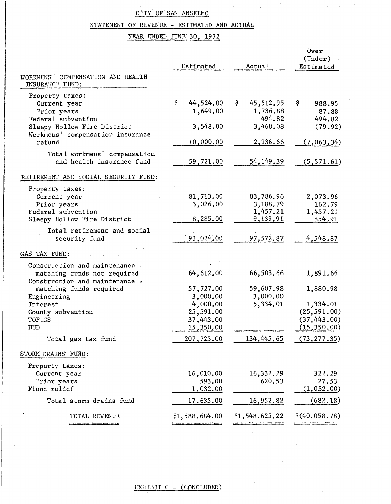# CiTY OF" SAN ANSELMO

## STATEMENT OF REVENUE - ESTIMATED AND ACTUAL

## YEAR ENDED JUNE 30, 1972

|                                                                                                     | Estimated                                       | Actual                                        | Over<br>(Under)<br>Estimated                              |
|-----------------------------------------------------------------------------------------------------|-------------------------------------------------|-----------------------------------------------|-----------------------------------------------------------|
| WORKMENS' COMPENSATION AND HEALTH<br>INSURANCE FUND:                                                |                                                 |                                               |                                                           |
| Property taxes:<br>Current year<br>Prior years                                                      | \$<br>44,524.00<br>1,649.00                     | \$<br>45,512.95<br>1,736.88                   | \$<br>988.95<br>87.88                                     |
| Federal subvention<br>Sleepy Hollow Fire District<br>Workmens' compensation insurance               | 3,548.00                                        | 494.82<br>3,468.08                            | 494.82<br>(79.92)                                         |
| refund                                                                                              | 10,000.00                                       | 2,936.66                                      | (7,063,34)                                                |
| Total workmens' compensation<br>and health insurance fund                                           | 59,721.00                                       | 54, 149. 39                                   | (5, 571, 61)                                              |
| RETIREMENT AND SOCIAL SECURITY FUND:                                                                |                                                 |                                               |                                                           |
| Property taxes:<br>Current year<br>Prior years<br>Federal subvention<br>Sleepy Hollow Fire District | 81,713.00<br>3,026.00<br>8,285.00               | 83,786.96<br>3,188.79<br>1,457.21<br>9,139.91 | 2,073.96<br>162.79<br>1,457.21<br>854.91                  |
| Total retirement and social<br>security fund                                                        | 93,024.00                                       | 97,572.87                                     | 4,548.87                                                  |
| GAS TAX FUND:                                                                                       |                                                 |                                               |                                                           |
| Construction and maintenance -<br>matching funds not required<br>Construction and maintenance -     | 64,612.00                                       | 66,503.66                                     | 1,891.66                                                  |
| matching funds required<br>Engineering                                                              | 57,727.00<br>3,000.00                           | 59,607.98<br>3,000.00                         | 1,880.98                                                  |
| Interest<br>County subvention<br><b>TOPICS</b><br>HUD                                               | 4,000.00<br>25,591.00<br>37,443.00<br>15,350.00 | 5,334.01                                      | 1,334.01<br>(25, 591, 00)<br>(37, 443.00)<br>(15, 350.00) |
| Total gas tax fund                                                                                  | 207,723.00                                      | 134,445.65                                    | (73, 277.35)                                              |
| STORM DRAINS FUND:                                                                                  |                                                 |                                               |                                                           |
| Property taxes:<br>Current year<br>Prior years<br>Flood relief                                      | 16,010.00<br>593.00<br>1,032.00                 | 16,332.29<br>620.53                           | 322.29<br>27.53<br>(1,032,00)                             |
| Total storm drains fund                                                                             | 17,635.00                                       | 16,952.82                                     | (682.18)                                                  |
| TOTAL REVENUE                                                                                       | \$1,588.684.00                                  | \$1,548.625.22                                | \$(40,058,78)                                             |
|                                                                                                     |                                                 |                                               |                                                           |

## EXHIBIT C - (CONCLUDED)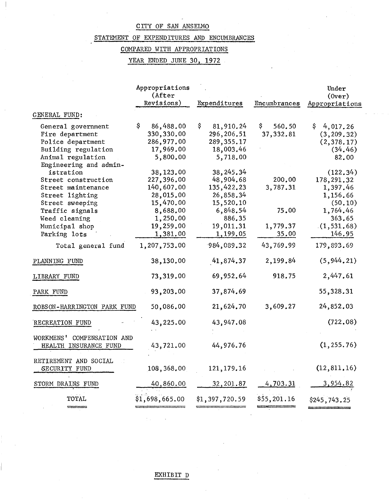### CITY OF SAN ANSELMO

### STATEMENT OF EXPENDITURES AND ENCUMBRANCES

### COMPARED WITH APPROPRIATIONS

YEAR ENDED JUNE 30, 1972

|                                                     | Appropriations<br>(After |                 |              | Under                    |
|-----------------------------------------------------|--------------------------|-----------------|--------------|--------------------------|
|                                                     | Revisions)               | Expenditures    | Encumbrances | (0ver)<br>Appropriations |
|                                                     |                          |                 |              |                          |
| GENERAL FUND:                                       |                          |                 |              |                          |
| General government                                  | \$.<br>86,488.00         | \$<br>81,910.24 | Ş.<br>560.50 | \$.<br>4,017.26          |
| Fire department                                     | 330,330.00               | 296,206.51      | 37,332.81    | (3, 209.32)              |
| Police department                                   | 286,977.00               | 289, 355.17     |              | (2, 378.17)              |
| Building regulation                                 | 17,969.00                | 18,003.46       |              | (34.46)                  |
| Animal regulation                                   | 5,800.00                 | 5,718.00        |              | 82.00                    |
| Engineering and admin-                              |                          |                 |              |                          |
| istration                                           | 38,123.00                | 38, 245.34      |              | (122.34)                 |
| Street construction                                 | 227,396.00               | 48,904.68       | 200.00       | 178,291.32               |
| Street maintenance                                  | 140,607.00               | 135,422.23      | 3,787.31     | 1,397.46                 |
| Street lighting                                     | 28,015.00                | 26,858.34       |              | 1,156.66                 |
| Street sweeping                                     | 15,470.00                | 15,520.10       |              | (50.10)                  |
| Traffic signals                                     | 8,688.00                 | 6,848.54        | 75.00        | 1,764.46                 |
| Weed cleaning                                       | 1,250.00                 | 886.35          |              | 363.65                   |
| Municipal shop                                      | 19,259.00                | 19,011.31       | 1,779.37     | (1, 531, 68)             |
| Parking lots                                        | 1,381.00                 | 1,199.05        | 35.00        | 146.95                   |
| Total general fund                                  | 1,207,753.00             | 984,089.32      | 43,769.99    | 179,893.69               |
| PLANNING FUND                                       | 38,130.00                | 41,874.37       | 2,199.84     | (5, 944, 21)             |
| LIBRARY FUND                                        | 73,319.00                | 69,952.64       | 918.75       | 2,447.61                 |
| PARK FUND                                           | 93,203.00                | 37,874.69       |              | 55,328.31                |
| ROBSON-HARRINGTON PARK FUND                         | 50,086.00                | 21,624.70       | 3,609.27     | 24,852.03                |
| RECREATION FUND                                     | 43,225.00                | 43,947.08       |              | (722.08)                 |
| WORKMENS' COMPENSATION AND<br>HEALTH INSURANCE FUND | 43,721.00                | 44,976.76       |              | (1, 255.76)              |
| RETIREMENT AND SOCIAL<br>SECURITY FUND              | 108,368.00               | 121, 179. 16    |              | (12, 811, 16)            |
| STORM DRAINS FUND                                   | 40,860.00                | 32, 201.87      | 4,703.31     | <u>3,954.82</u>          |
| TOTAL                                               | \$1,698,665.00           | \$1,397,720.59  | \$55,201.16  | \$245,743.25             |

EXHIBIT D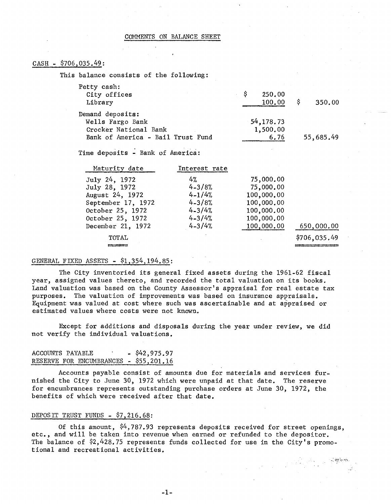### CASH - \$706,035.49:

This balance consists of the following:

| Petty cash:                       |               |           |
|-----------------------------------|---------------|-----------|
| City offices                      | - S<br>250.00 |           |
| Library                           | 100.00        | 350.00    |
| Demand deposits:                  |               |           |
| Wells Fargo Bank                  | 54,178.73     |           |
| Crocker National Bank             | 1,500.00      |           |
| Bank of America - Bail Trust Fund | 6.76          | 55,685.49 |

Time deposits - Bank of America:

| Maturity date      | Interest rate |            |              |
|--------------------|---------------|------------|--------------|
| July 24, 1972      | 4%            | 75,000.00  |              |
| July 28, 1972      | $4 - 3/8%$    | 75,000.00  |              |
| August 24, 1972    | $4 - 1/4%$    | 100,000.00 |              |
| September 17, 1972 | $4 - 3/8%$    | 100,000.00 |              |
| October 25, 1972   | $4 - 3/4%$    | 100,000.00 |              |
| October 25, 1972   | $4 - 3/4%$    | 100,000.00 |              |
| December 21, 1972  | $4 - 3/4%$    | 100,000.00 | 650,000.00   |
| TOTAL              |               |            | \$706,035.49 |
|                    |               |            |              |

#### GENERAL FIXED ASSETS - \$1,354,194.85:

The City inventoried its general fixed assets during the 1961-62 fiscal year, assigned values thereto, and recorded the total valuation on its books. Land valuation was based on the County Assessor's appraisal for real estate tax purposes. The valuation of improvements was based on insurance appraisals. Equipment was valued at cost where such was ascertainable and at appraised or estimated values where costs were not known.

Except for additions and disposals during the year under review, we did not verify the individual valuations.

### ACCOUNTS PAYABLE - \$42,975.97 RESERVE FOR ENCUMBRANCES - \$55,201.16

Accounts payable consist of amounts due for materials and services furnished the City to June 30, 1972 which were unpaid at that date. The reserve for encumbrances represents outstanding purchase orders at June 30, 1972, the benefits of which were received after that date.

#### DEPOSIT TRUST FUNDS - \$7,216.68:

Of this amount,  $$4,787.93$  represents deposits received for street openings, etc., and will be taken into revenue when earned or refunded to the depositor. The balance of  $$2,428.75$  represents funds collected for use in the City's promotional and recreational activities.